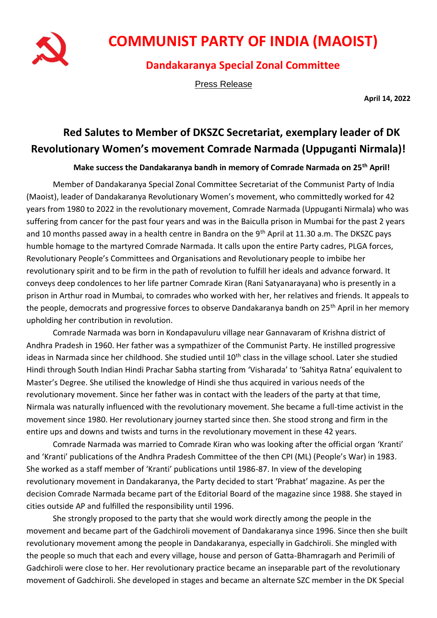

## **COMMUNIST PARTY OF INDIA (MAOIST)**

## **Dandakaranya Special Zonal Committee**

Press Release

**April 14, 2022**

## **Red Salutes to Member of DKSZC Secretariat, exemplary leader of DK Revolutionary Women's movement Comrade Narmada (Uppuganti Nirmala)!**

## **Make success the Dandakaranya bandh in memory of Comrade Narmada on 25th April!**

Member of Dandakaranya Special Zonal Committee Secretariat of the Communist Party of India (Maoist), leader of Dandakaranya Revolutionary Women's movement, who committedly worked for 42 years from 1980 to 2022 in the revolutionary movement, Comrade Narmada (Uppuganti Nirmala) who was suffering from cancer for the past four years and was in the Baiculla prison in Mumbai for the past 2 years and 10 months passed away in a health centre in Bandra on the 9<sup>th</sup> April at 11.30 a.m. The DKSZC pays humble homage to the martyred Comrade Narmada. It calls upon the entire Party cadres, PLGA forces, Revolutionary People's Committees and Organisations and Revolutionary people to imbibe her revolutionary spirit and to be firm in the path of revolution to fulfill her ideals and advance forward. It conveys deep condolences to her life partner Comrade Kiran (Rani Satyanarayana) who is presently in a prison in Arthur road in Mumbai, to comrades who worked with her, her relatives and friends. It appeals to the people, democrats and progressive forces to observe Dandakaranya bandh on 25<sup>th</sup> April in her memory upholding her contribution in revolution.

Comrade Narmada was born in Kondapavuluru village near Gannavaram of Krishna district of Andhra Pradesh in 1960. Her father was a sympathizer of the Communist Party. He instilled progressive ideas in Narmada since her childhood. She studied until 10<sup>th</sup> class in the village school. Later she studied Hindi through South Indian Hindi Prachar Sabha starting from 'Visharada' to 'Sahitya Ratna' equivalent to Master's Degree. She utilised the knowledge of Hindi she thus acquired in various needs of the revolutionary movement. Since her father was in contact with the leaders of the party at that time, Nirmala was naturally influenced with the revolutionary movement. She became a full-time activist in the movement since 1980. Her revolutionary journey started since then. She stood strong and firm in the entire ups and downs and twists and turns in the revolutionary movement in these 42 years.

Comrade Narmada was married to Comrade Kiran who was looking after the official organ 'Kranti' and 'Kranti' publications of the Andhra Pradesh Committee of the then CPI (ML) (People's War) in 1983. She worked as a staff member of 'Kranti' publications until 1986-87. In view of the developing revolutionary movement in Dandakaranya, the Party decided to start 'Prabhat' magazine. As per the decision Comrade Narmada became part of the Editorial Board of the magazine since 1988. She stayed in cities outside AP and fulfilled the responsibility until 1996.

She strongly proposed to the party that she would work directly among the people in the movement and became part of the Gadchiroli movement of Dandakaranya since 1996. Since then she built revolutionary movement among the people in Dandakaranya, especially in Gadchiroli. She mingled with the people so much that each and every village, house and person of Gatta-Bhamragarh and Perimili of Gadchiroli were close to her. Her revolutionary practice became an inseparable part of the revolutionary movement of Gadchiroli. She developed in stages and became an alternate SZC member in the DK Special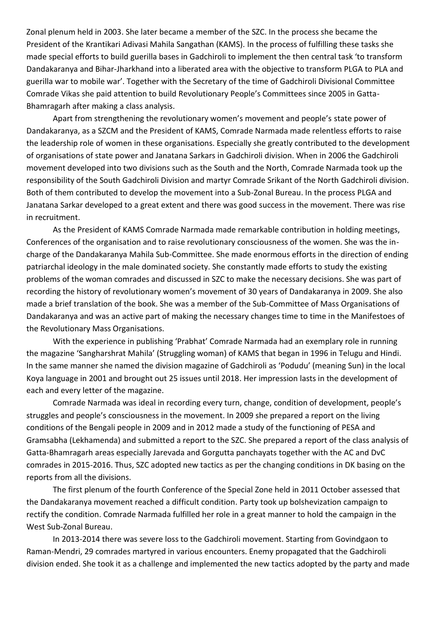Zonal plenum held in 2003. She later became a member of the SZC. In the process she became the President of the Krantikari Adivasi Mahila Sangathan (KAMS). In the process of fulfilling these tasks she made special efforts to build guerilla bases in Gadchiroli to implement the then central task 'to transform Dandakaranya and Bihar-Jharkhand into a liberated area with the objective to transform PLGA to PLA and guerilla war to mobile war'. Together with the Secretary of the time of Gadchiroli Divisional Committee Comrade Vikas she paid attention to build Revolutionary People's Committees since 2005 in Gatta-Bhamragarh after making a class analysis.

Apart from strengthening the revolutionary women's movement and people's state power of Dandakaranya, as a SZCM and the President of KAMS, Comrade Narmada made relentless efforts to raise the leadership role of women in these organisations. Especially she greatly contributed to the development of organisations of state power and Janatana Sarkars in Gadchiroli division. When in 2006 the Gadchiroli movement developed into two divisions such as the South and the North, Comrade Narmada took up the responsibility of the South Gadchiroli Division and martyr Comrade Srikant of the North Gadchiroli division. Both of them contributed to develop the movement into a Sub-Zonal Bureau. In the process PLGA and Janatana Sarkar developed to a great extent and there was good success in the movement. There was rise in recruitment.

As the President of KAMS Comrade Narmada made remarkable contribution in holding meetings, Conferences of the organisation and to raise revolutionary consciousness of the women. She was the incharge of the Dandakaranya Mahila Sub-Committee. She made enormous efforts in the direction of ending patriarchal ideology in the male dominated society. She constantly made efforts to study the existing problems of the woman comrades and discussed in SZC to make the necessary decisions. She was part of recording the history of revolutionary women's movement of 30 years of Dandakaranya in 2009. She also made a brief translation of the book. She was a member of the Sub-Committee of Mass Organisations of Dandakaranya and was an active part of making the necessary changes time to time in the Manifestoes of the Revolutionary Mass Organisations.

With the experience in publishing 'Prabhat' Comrade Narmada had an exemplary role in running the magazine 'Sangharshrat Mahila' (Struggling woman) of KAMS that began in 1996 in Telugu and Hindi. In the same manner she named the division magazine of Gadchiroli as 'Podudu' (meaning Sun) in the local Koya language in 2001 and brought out 25 issues until 2018. Her impression lasts in the development of each and every letter of the magazine.

Comrade Narmada was ideal in recording every turn, change, condition of development, people's struggles and people's consciousness in the movement. In 2009 she prepared a report on the living conditions of the Bengali people in 2009 and in 2012 made a study of the functioning of PESA and Gramsabha (Lekhamenda) and submitted a report to the SZC. She prepared a report of the class analysis of Gatta-Bhamragarh areas especially Jarevada and Gorgutta panchayats together with the AC and DvC comrades in 2015-2016. Thus, SZC adopted new tactics as per the changing conditions in DK basing on the reports from all the divisions.

The first plenum of the fourth Conference of the Special Zone held in 2011 October assessed that the Dandakaranya movement reached a difficult condition. Party took up bolshevization campaign to rectify the condition. Comrade Narmada fulfilled her role in a great manner to hold the campaign in the West Sub-Zonal Bureau.

In 2013-2014 there was severe loss to the Gadchiroli movement. Starting from Govindgaon to Raman-Mendri, 29 comrades martyred in various encounters. Enemy propagated that the Gadchiroli division ended. She took it as a challenge and implemented the new tactics adopted by the party and made